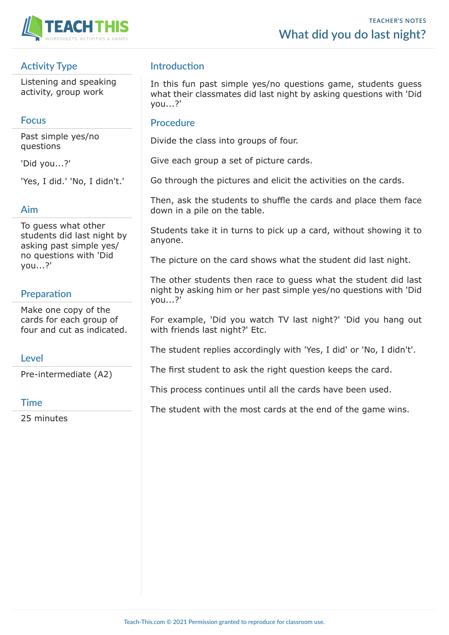

## **Activity Type**

Listening and speaking activity, group work

#### **Focus**

Past simple yes/no questions

'Did you...?'

'Yes, I did.' 'No, I didn't.'

#### **Aim**

To guess what other students did last night by asking past simple yes/ no questions with 'Did you...?'

## **Preparation**

Make one copy of the cards for each group of four and cut as indicated.

#### **Level**

Pre-intermediate (A2)

#### **Time**

25 minutes

## **Introduction**

In this fun past simple yes/no questions game, students guess what their classmates did last night by asking questions with 'Did you...?'

#### **Procedure**

Divide the class into groups of four.

Give each group a set of picture cards.

Go through the pictures and elicit the activities on the cards.

Then, ask the students to shuffle the cards and place them face down in a pile on the table.

Students take it in turns to pick up a card, without showing it to anyone.

The picture on the card shows what the student did last night.

The other students then race to guess what the student did last night by asking him or her past simple yes/no questions with 'Did you...?'

For example, 'Did you watch TV last night?' 'Did you hang out with friends last night?' Etc.

The student replies accordingly with 'Yes, I did' or 'No, I didn't'.

The first student to ask the right question keeps the card.

This process continues until all the cards have been used.

The student with the most cards at the end of the game wins.